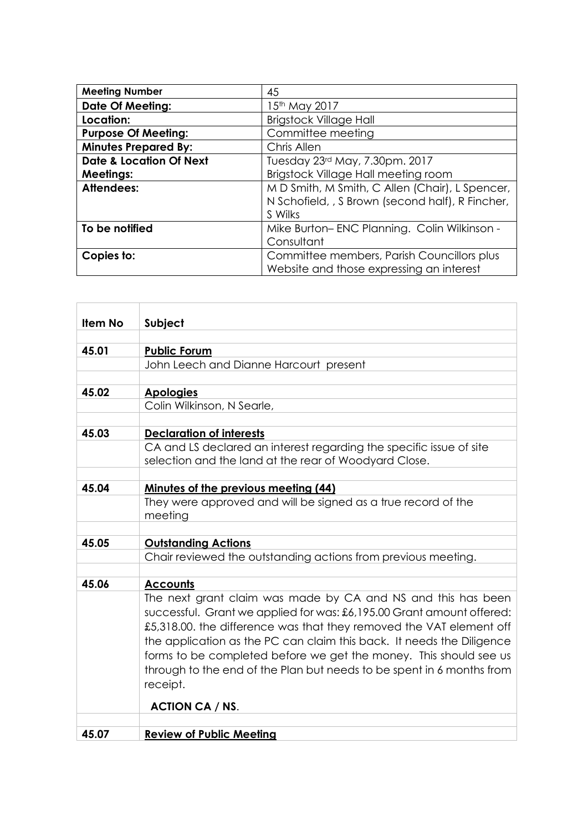| <b>Meeting Number</b>              | 45                                                                                                             |
|------------------------------------|----------------------------------------------------------------------------------------------------------------|
| <b>Date Of Meeting:</b>            | 15th May 2017                                                                                                  |
| Location:                          | <b>Brigstock Village Hall</b>                                                                                  |
| <b>Purpose Of Meeting:</b>         | Committee meeting                                                                                              |
| <b>Minutes Prepared By:</b>        | Chris Allen                                                                                                    |
| <b>Date &amp; Location Of Next</b> | Tuesday 23rd May, 7.30pm. 2017                                                                                 |
| <b>Meetings:</b>                   | Brigstock Village Hall meeting room                                                                            |
| Attendees:                         | M D Smith, M Smith, C Allen (Chair), L Spencer,<br>N Schofield, , S Brown (second half), R Fincher,<br>S Wilks |
| To be notified                     | Mike Burton-ENC Planning. Colin Wilkinson -                                                                    |
|                                    | Consultant                                                                                                     |
| Copies to:                         | Committee members, Parish Councillors plus<br>Website and those expressing an interest                         |

| <b>Item No</b> | Subject                                                                                                                                                                                                                                                                                                                                                                                                                                         |
|----------------|-------------------------------------------------------------------------------------------------------------------------------------------------------------------------------------------------------------------------------------------------------------------------------------------------------------------------------------------------------------------------------------------------------------------------------------------------|
|                |                                                                                                                                                                                                                                                                                                                                                                                                                                                 |
| 45.01          | <b>Public Forum</b>                                                                                                                                                                                                                                                                                                                                                                                                                             |
|                | John Leech and Dianne Harcourt present                                                                                                                                                                                                                                                                                                                                                                                                          |
|                |                                                                                                                                                                                                                                                                                                                                                                                                                                                 |
| 45.02          | <b>Apologies</b>                                                                                                                                                                                                                                                                                                                                                                                                                                |
|                | Colin Wilkinson, N Searle,                                                                                                                                                                                                                                                                                                                                                                                                                      |
|                |                                                                                                                                                                                                                                                                                                                                                                                                                                                 |
| 45.03          | <b>Declaration of interests</b>                                                                                                                                                                                                                                                                                                                                                                                                                 |
|                | CA and LS declared an interest regarding the specific issue of site                                                                                                                                                                                                                                                                                                                                                                             |
|                | selection and the land at the rear of Woodyard Close.                                                                                                                                                                                                                                                                                                                                                                                           |
|                |                                                                                                                                                                                                                                                                                                                                                                                                                                                 |
| 45.04          | <b>Minutes of the previous meeting (44)</b>                                                                                                                                                                                                                                                                                                                                                                                                     |
|                | They were approved and will be signed as a true record of the                                                                                                                                                                                                                                                                                                                                                                                   |
|                | meeting                                                                                                                                                                                                                                                                                                                                                                                                                                         |
| 45.05          |                                                                                                                                                                                                                                                                                                                                                                                                                                                 |
|                | <b>Outstanding Actions</b><br>Chair reviewed the outstanding actions from previous meeting.                                                                                                                                                                                                                                                                                                                                                     |
|                |                                                                                                                                                                                                                                                                                                                                                                                                                                                 |
| 45.06          | <b>Accounts</b>                                                                                                                                                                                                                                                                                                                                                                                                                                 |
|                | The next grant claim was made by CA and NS and this has been<br>successful. Grant we applied for was: £6,195.00 Grant amount offered:<br>£5,318.00. the difference was that they removed the VAT element off<br>the application as the PC can claim this back. It needs the Diligence<br>forms to be completed before we get the money. This should see us<br>through to the end of the Plan but needs to be spent in 6 months from<br>receipt. |
|                | <b>ACTION CA / NS.</b>                                                                                                                                                                                                                                                                                                                                                                                                                          |
|                |                                                                                                                                                                                                                                                                                                                                                                                                                                                 |
| 45.07          | <b>Review of Public Meeting</b>                                                                                                                                                                                                                                                                                                                                                                                                                 |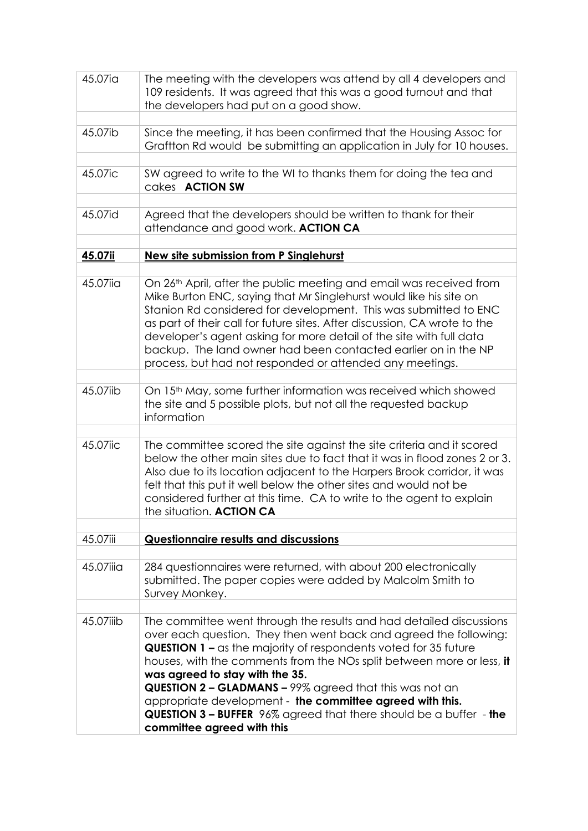| 45.07ia   | The meeting with the developers was attend by all 4 developers and<br>109 residents. It was agreed that this was a good turnout and that<br>the developers had put on a good show.                                                                                                                                                                                                                                                                                                                                                                                |
|-----------|-------------------------------------------------------------------------------------------------------------------------------------------------------------------------------------------------------------------------------------------------------------------------------------------------------------------------------------------------------------------------------------------------------------------------------------------------------------------------------------------------------------------------------------------------------------------|
| 45.07ib   | Since the meeting, it has been confirmed that the Housing Assoc for<br>Graftton Rd would be submitting an application in July for 10 houses.                                                                                                                                                                                                                                                                                                                                                                                                                      |
| 45.07ic   | SW agreed to write to the WI to thanks them for doing the tea and<br>cakes <b>ACTION SW</b>                                                                                                                                                                                                                                                                                                                                                                                                                                                                       |
| 45.07id   | Agreed that the developers should be written to thank for their<br>attendance and good work. ACTION CA                                                                                                                                                                                                                                                                                                                                                                                                                                                            |
| 45.07ii   | New site submission from P Singlehurst                                                                                                                                                                                                                                                                                                                                                                                                                                                                                                                            |
| 45.07iia  | On 26 <sup>th</sup> April, after the public meeting and email was received from<br>Mike Burton ENC, saying that Mr Singlehurst would like his site on<br>Stanion Rd considered for development. This was submitted to ENC<br>as part of their call for future sites. After discussion, CA wrote to the<br>developer's agent asking for more detail of the site with full data<br>backup. The land owner had been contacted earlier on in the NP<br>process, but had not responded or attended any meetings.                                                       |
| 45.07iib  | On 15 <sup>th</sup> May, some further information was received which showed<br>the site and 5 possible plots, but not all the requested backup<br>information                                                                                                                                                                                                                                                                                                                                                                                                     |
| 45.07iic  | The committee scored the site against the site criteria and it scored<br>below the other main sites due to fact that it was in flood zones 2 or 3.<br>Also due to its location adjacent to the Harpers Brook corridor, it was<br>felt that this put it well below the other sites and would not be<br>considered further at this time. CA to write to the agent to explain<br>the situation. <b>ACTION CA</b>                                                                                                                                                     |
| 45.07iii  | <b>Questionnaire results and discussions</b>                                                                                                                                                                                                                                                                                                                                                                                                                                                                                                                      |
| 45.07iiia | 284 questionnaires were returned, with about 200 electronically<br>submitted. The paper copies were added by Malcolm Smith to<br>Survey Monkey.                                                                                                                                                                                                                                                                                                                                                                                                                   |
| 45.07iiib | The committee went through the results and had detailed discussions<br>over each question. They then went back and agreed the following:<br><b>QUESTION 1 - as the majority of respondents voted for 35 future</b><br>houses, with the comments from the NOs split between more or less, it<br>was agreed to stay with the 35.<br>QUESTION 2 - GLADMANS - 99% agreed that this was not an<br>appropriate development - the committee agreed with this.<br><b>QUESTION 3 - BUFFER</b> 96% agreed that there should be a buffer - the<br>committee agreed with this |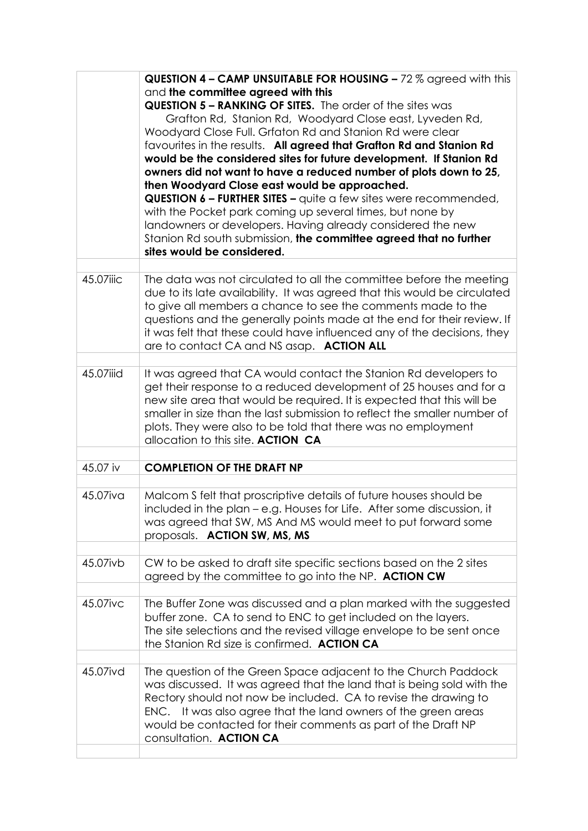|           | <b>QUESTION 4 - CAMP UNSUITABLE FOR HOUSING - 72 % agreed with this</b>   |
|-----------|---------------------------------------------------------------------------|
|           | and the committee agreed with this                                        |
|           | <b>QUESTION 5 - RANKING OF SITES.</b> The order of the sites was          |
|           | Grafton Rd, Stanion Rd, Woodyard Close east, Lyveden Rd,                  |
|           | Woodyard Close Full. Grfaton Rd and Stanion Rd were clear                 |
|           | favourites in the results. All agreed that Grafton Rd and Stanion Rd      |
|           | would be the considered sites for future development. If Stanion Rd       |
|           | owners did not want to have a reduced number of plots down to 25,         |
|           | then Woodyard Close east would be approached.                             |
|           | <b>QUESTION 6 - FURTHER SITES -</b> quite a few sites were recommended,   |
|           | with the Pocket park coming up several times, but none by                 |
|           | landowners or developers. Having already considered the new               |
|           | Stanion Rd south submission, the committee agreed that no further         |
|           | sites would be considered.                                                |
|           |                                                                           |
| 45.07iiic | The data was not circulated to all the committee before the meeting       |
|           | due to its late availability. It was agreed that this would be circulated |
|           | to give all members a chance to see the comments made to the              |
|           | questions and the generally points made at the end for their review. If   |
|           | it was felt that these could have influenced any of the decisions, they   |
|           | are to contact CA and NS asap. ACTION ALL                                 |
|           |                                                                           |
| 45.07iiid | It was agreed that CA would contact the Stanion Rd developers to          |
|           | get their response to a reduced development of 25 houses and for a        |
|           | new site area that would be required. It is expected that this will be    |
|           | smaller in size than the last submission to reflect the smaller number of |
|           | plots. They were also to be told that there was no employment             |
|           | allocation to this site. ACTION CA                                        |
|           |                                                                           |
| 45.07 iv  | <b>COMPLETION OF THE DRAFT NP</b>                                         |
|           |                                                                           |
| 45.07iva  | Malcom S felt that proscriptive details of future houses should be        |
|           | included in the plan - e.g. Houses for Life. After some discussion, it    |
|           | was agreed that SW, MS And MS would meet to put forward some              |
|           | proposals. ACTION SW, MS, MS                                              |
|           |                                                                           |
| 45.07ivb  | CW to be asked to draft site specific sections based on the 2 sites       |
|           | agreed by the committee to go into the NP. ACTION CW                      |
|           |                                                                           |
| 45.07ivc  | The Buffer Zone was discussed and a plan marked with the suggested        |
|           | buffer zone. CA to send to ENC to get included on the layers.             |
|           | The site selections and the revised village envelope to be sent once      |
|           | the Stanion Rd size is confirmed. ACTION CA                               |
|           |                                                                           |
| 45.07ivd  | The question of the Green Space adjacent to the Church Paddock            |
|           | was discussed. It was agreed that the land that is being sold with the    |
|           | Rectory should not now be included. CA to revise the drawing to           |
|           | ENC. It was also agree that the land owners of the green areas            |
|           | would be contacted for their comments as part of the Draft NP             |
|           | consultation. ACTION CA                                                   |
|           |                                                                           |